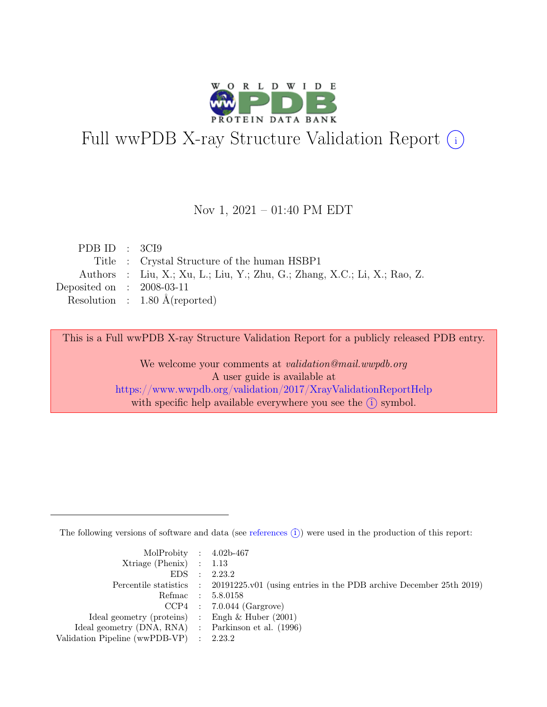

# Full wwPDB X-ray Structure Validation Report  $(i)$

#### Nov 1, 2021 – 01:40 PM EDT

|  | Title : Crystal Structure of the human HSBP1                              |
|--|---------------------------------------------------------------------------|
|  | Authors : Liu, X.; Xu, L.; Liu, Y.; Zhu, G.; Zhang, X.C.; Li, X.; Rao, Z. |
|  | Deposited on : $2008-03-11$                                               |
|  | Resolution : $1.80 \text{ Å}$ (reported)                                  |
|  | PDB ID : $3CI9$                                                           |

This is a Full wwPDB X-ray Structure Validation Report for a publicly released PDB entry.

We welcome your comments at validation@mail.wwpdb.org A user guide is available at <https://www.wwpdb.org/validation/2017/XrayValidationReportHelp> with specific help available everywhere you see the  $(i)$  symbol.

The following versions of software and data (see [references](https://www.wwpdb.org/validation/2017/XrayValidationReportHelp#references)  $(i)$ ) were used in the production of this report:

| MolProbity : $4.02b-467$                            |                                                                                            |
|-----------------------------------------------------|--------------------------------------------------------------------------------------------|
| $Xtriangle (Phenix)$ : 1.13                         |                                                                                            |
|                                                     | EDS : 2.23.2                                                                               |
|                                                     | Percentile statistics : 20191225.v01 (using entries in the PDB archive December 25th 2019) |
|                                                     | Refmac : 5.8.0158                                                                          |
|                                                     | $CCP4$ : 7.0.044 (Gargrove)                                                                |
| Ideal geometry (proteins) : Engh $\&$ Huber (2001)  |                                                                                            |
| Ideal geometry (DNA, RNA) : Parkinson et al. (1996) |                                                                                            |
| Validation Pipeline (wwPDB-VP) : 2.23.2             |                                                                                            |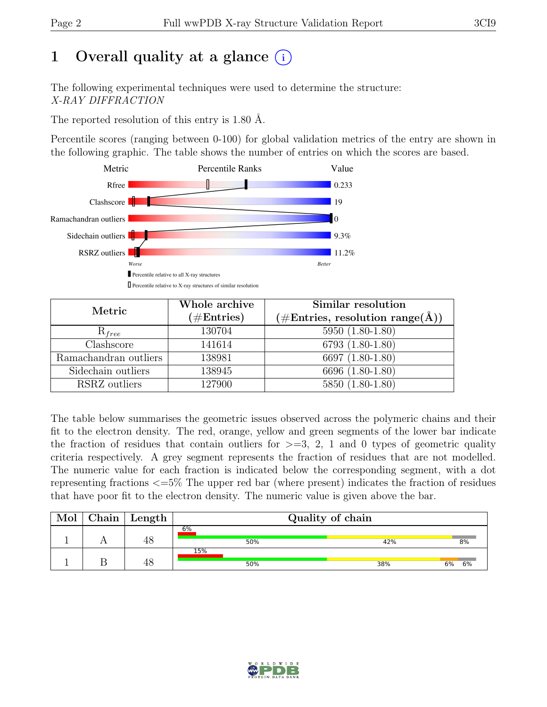# 1 Overall quality at a glance  $(i)$

The following experimental techniques were used to determine the structure: X-RAY DIFFRACTION

The reported resolution of this entry is 1.80 Å.

Percentile scores (ranging between 0-100) for global validation metrics of the entry are shown in the following graphic. The table shows the number of entries on which the scores are based.



| Metric                          | Whole archive<br>$(\#\text{Entries})$ | Similar resolution<br>$(\# \text{Entries}, \text{ resolution } \text{range}(\AA))$ |
|---------------------------------|---------------------------------------|------------------------------------------------------------------------------------|
| $R_{free}$                      | 130704                                | $5950(1.80-1.80)$                                                                  |
| $\overline{\text{Cl}}$ ashscore | 141614                                | 6793 (1.80-1.80)                                                                   |
| Ramachandran outliers           | 138981                                | 6697 (1.80-1.80)                                                                   |
| Sidechain outliers              | 138945                                | 6696 (1.80-1.80)                                                                   |
| RSRZ outliers                   | 127900                                | 5850 (1.80-1.80)                                                                   |

The table below summarises the geometric issues observed across the polymeric chains and their fit to the electron density. The red, orange, yellow and green segments of the lower bar indicate the fraction of residues that contain outliers for  $\geq$ =3, 2, 1 and 0 types of geometric quality criteria respectively. A grey segment represents the fraction of residues that are not modelled. The numeric value for each fraction is indicated below the corresponding segment, with a dot representing fractions <=5% The upper red bar (where present) indicates the fraction of residues that have poor fit to the electron density. The numeric value is given above the bar.

| Mol | ${\rm Chain}$ | Length | Quality of chain |     |          |  |
|-----|---------------|--------|------------------|-----|----------|--|
|     |               | 48     | 6%<br>50%        | 42% | 8%       |  |
|     |               | 48     | 15%<br>50%       | 38% | 6%<br>6% |  |

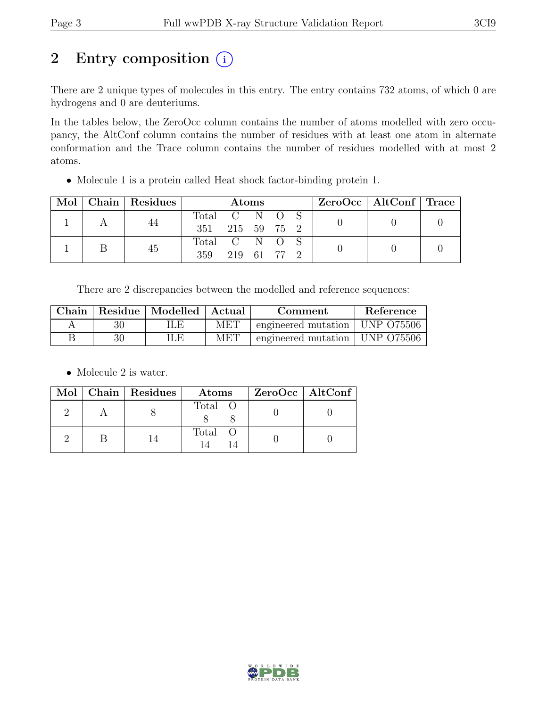# 2 Entry composition  $(i)$

There are 2 unique types of molecules in this entry. The entry contains 732 atoms, of which 0 are hydrogens and 0 are deuteriums.

In the tables below, the ZeroOcc column contains the number of atoms modelled with zero occupancy, the AltConf column contains the number of residues with at least one atom in alternate conformation and the Trace column contains the number of residues modelled with at most 2 atoms.

• Molecule 1 is a protein called Heat shock factor-binding protein 1.

|  |  | Mol   Chain   Residues | <b>Atoms</b>  |             |  |  |  | $ZeroOcc \mid AltConf \mid Trace$ |  |
|--|--|------------------------|---------------|-------------|--|--|--|-----------------------------------|--|
|  |  | 44                     | Total C N O S |             |  |  |  |                                   |  |
|  |  | 351 215 59 75 2        |               |             |  |  |  |                                   |  |
|  |  | 45                     | Total C N O S |             |  |  |  |                                   |  |
|  |  |                        | 359           | 219 61 77 2 |  |  |  |                                   |  |

There are 2 discrepancies between the modelled and reference sequences:

| Chain | Residue   Modelled   Actual |     | Comment                          | Reference |
|-------|-----------------------------|-----|----------------------------------|-----------|
|       | ILE                         | MET | engineered mutation   UNP 075506 |           |
|       | ПÆ                          | MET | engineered mutation   UNP 075506 |           |

• Molecule 2 is water.

|  | Mol   Chain   Residues | Atoms   | ZeroOcc   AltConf |
|--|------------------------|---------|-------------------|
|  |                        | Total O |                   |
|  |                        | Total O |                   |

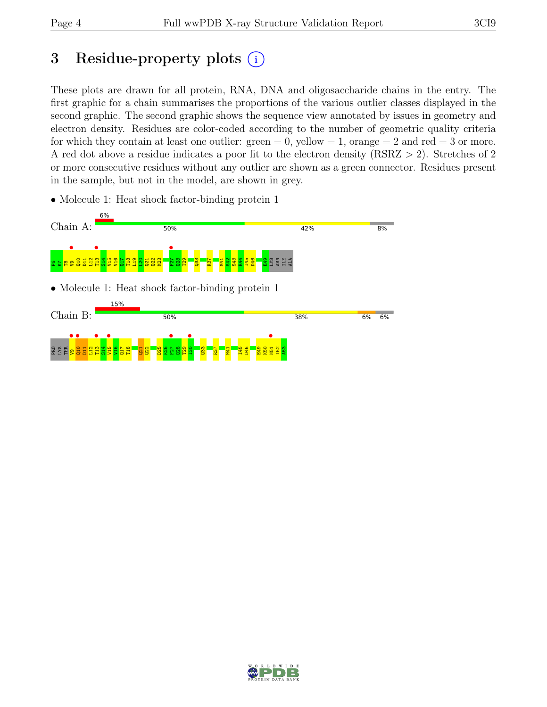# 3 Residue-property plots  $(i)$

These plots are drawn for all protein, RNA, DNA and oligosaccharide chains in the entry. The first graphic for a chain summarises the proportions of the various outlier classes displayed in the second graphic. The second graphic shows the sequence view annotated by issues in geometry and electron density. Residues are color-coded according to the number of geometric quality criteria for which they contain at least one outlier:  $green = 0$ , yellow  $= 1$ , orange  $= 2$  and red  $= 3$  or more. A red dot above a residue indicates a poor fit to the electron density (RSRZ > 2). Stretches of 2 or more consecutive residues without any outlier are shown as a green connector. Residues present in the sample, but not in the model, are shown in grey.

• Molecule 1: Heat shock factor-binding protein 1



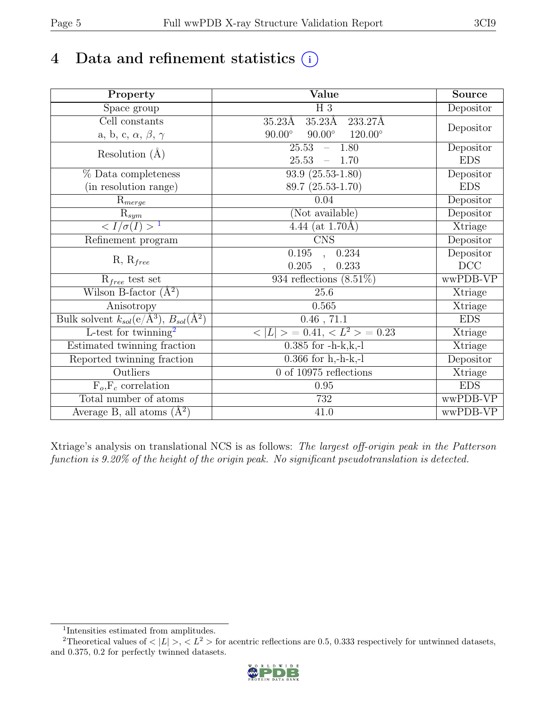# 4 Data and refinement statistics  $(i)$

| Property                                                               | Value                                                    | <b>Source</b> |
|------------------------------------------------------------------------|----------------------------------------------------------|---------------|
| Space group                                                            | $H_3$                                                    | Depositor     |
| Cell constants                                                         | $35.23\text{\AA}$<br>$35.23\text{\AA}$<br>233.27Å        |               |
| a, b, c, $\alpha$ , $\beta$ , $\gamma$                                 | $90.00^{\circ}$ $120.00^{\circ}$<br>$90.00^\circ$        | Depositor     |
| Resolution $(A)$                                                       | 25.53<br>$-1.80$                                         | Depositor     |
|                                                                        | 25.53<br>$-1.70$                                         | <b>EDS</b>    |
| % Data completeness                                                    | $93.9(25.53-1.80)$                                       | Depositor     |
| (in resolution range)                                                  | 89.7 (25.53-1.70)                                        | <b>EDS</b>    |
| $R_{merge}$                                                            | 0.04                                                     | Depositor     |
| $\bar{\mathbf{R}}_{sym}$                                               | (Not available)                                          | Depositor     |
| $\langle I/\sigma(I) \rangle$ <sup>1</sup>                             | 4.44 (at $1.70\text{\AA})$                               | Xtriage       |
| Refinement program                                                     | <b>CNS</b>                                               | Depositor     |
| $R, R_{free}$                                                          | 0.195, 0.234                                             | Depositor     |
|                                                                        | 0.205<br>0.233<br>$\overline{\phantom{a}}$               | DCC           |
| $R_{free}$ test set                                                    | 934 reflections $(8.51\%)$                               | wwPDB-VP      |
| Wilson B-factor $(A^2)$                                                | 25.6                                                     | Xtriage       |
| Anisotropy                                                             | 0.565                                                    | Xtriage       |
| Bulk solvent $k_{sol}(\mathrm{e}/\mathrm{A}^3), B_{sol}(\mathrm{A}^2)$ | $0.46$ , $71.1$                                          | <b>EDS</b>    |
| L-test for twinning <sup>2</sup>                                       | $\langle  L  \rangle = 0.41, \langle L^2 \rangle = 0.23$ | Xtriage       |
| Estimated twinning fraction                                            | $0.385$ for $-h-k,k,-l$                                  | Xtriage       |
| Reported twinning fraction                                             | $0.366$ for h,-h-k,-l                                    | Depositor     |
| Outliers                                                               | $0$ of 10975 reflections                                 | Xtriage       |
| $F_o, F_c$ correlation                                                 | 0.95                                                     | <b>EDS</b>    |
| Total number of atoms                                                  | 732                                                      | wwPDB-VP      |
| Average B, all atoms $(A^2)$                                           | 41.0                                                     | wwPDB-VP      |

Xtriage's analysis on translational NCS is as follows: The largest off-origin peak in the Patterson function is 9.20% of the height of the origin peak. No significant pseudotranslation is detected.

<sup>&</sup>lt;sup>2</sup>Theoretical values of  $\langle |L| \rangle$ ,  $\langle L^2 \rangle$  for acentric reflections are 0.5, 0.333 respectively for untwinned datasets, and 0.375, 0.2 for perfectly twinned datasets.



<span id="page-4-1"></span><span id="page-4-0"></span><sup>1</sup> Intensities estimated from amplitudes.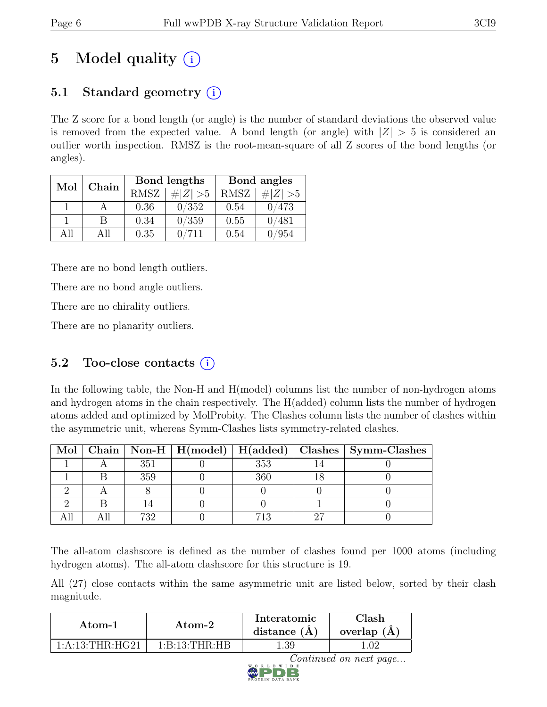# 5 Model quality  $(i)$

### 5.1 Standard geometry  $(i)$

The Z score for a bond length (or angle) is the number of standard deviations the observed value is removed from the expected value. A bond length (or angle) with  $|Z| > 5$  is considered an outlier worth inspection. RMSZ is the root-mean-square of all Z scores of the bond lengths (or angles).

| Mol | Chain |             | Bond lengths | Bond angles |             |  |
|-----|-------|-------------|--------------|-------------|-------------|--|
|     |       | <b>RMSZ</b> | # $ Z  > 5$  | RMSZ        | # $ Z  > 5$ |  |
|     |       | 0.36        | 0/352        | 0.54        | 0/473       |  |
|     |       | 0.34        | 0/359        | 0.55        | 0/481       |  |
| All | All   | 0.35        |              | 0.54        | '954        |  |

There are no bond length outliers.

There are no bond angle outliers.

There are no chirality outliers.

There are no planarity outliers.

### 5.2 Too-close contacts  $(i)$

In the following table, the Non-H and H(model) columns list the number of non-hydrogen atoms and hydrogen atoms in the chain respectively. The H(added) column lists the number of hydrogen atoms added and optimized by MolProbity. The Clashes column lists the number of clashes within the asymmetric unit, whereas Symm-Clashes lists symmetry-related clashes.

|  |     |     | Mol   Chain   Non-H   H(model)   H(added)   Clashes   Symm-Clashes |
|--|-----|-----|--------------------------------------------------------------------|
|  | 351 | 353 |                                                                    |
|  | 359 | 366 |                                                                    |
|  |     |     |                                                                    |
|  |     |     |                                                                    |
|  | 739 | 713 |                                                                    |

The all-atom clashscore is defined as the number of clashes found per 1000 atoms (including hydrogen atoms). The all-atom clashscore for this structure is 19.

All (27) close contacts within the same asymmetric unit are listed below, sorted by their clash magnitude.

| Atom-1           | Atom-2            | Interatomic<br>distance $(A)$ | Clash<br>overlap $(A)$ |
|------------------|-------------------|-------------------------------|------------------------|
| 1: A:13:THR:HG21 | 1: B: 13: THR: HB | . .39                         |                        |

Continued on next page...

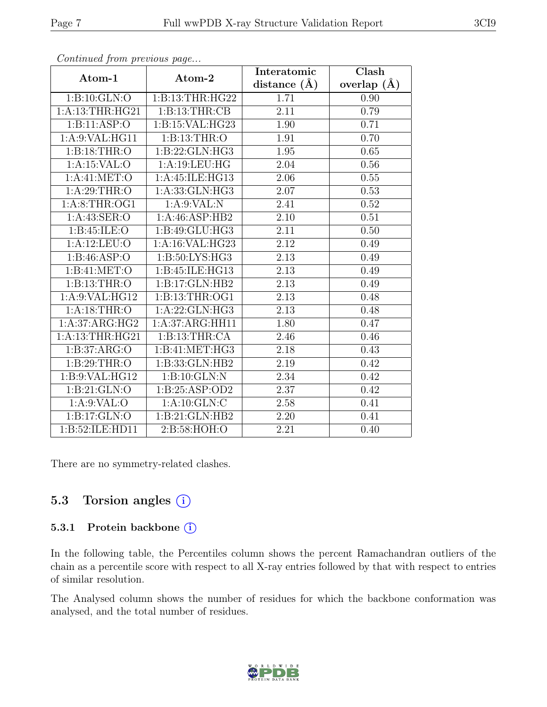|                  | $\mathbf{r} \cdot \mathbf{r}$ | Interatomic       | $\overline{\text{Clash}}$ |
|------------------|-------------------------------|-------------------|---------------------------|
| Atom-1           | Atom-2                        | distance $(\AA)$  | overlap $(\AA)$           |
| 1:B:10:GLN:O     | 1:B:13:THR:HG22               | 1.71              | 0.90                      |
| 1: A:13:THR:HG21 | $\overline{1: B:13:THR:CB}$   | $\overline{2.11}$ | 0.79                      |
| 1: B: 11: ASP: O | 1:B:15:VAL:HG23               | 1.90              | 0.71                      |
| 1:A:9:VAL:HG11   | 1:B:13:THR:O                  | 1.91              | 0.70                      |
| 1:B:18:THR:O     | 1:B:22:GLN:HG3                | 1.95              | 0.65                      |
| 1: A:15: VAL:O   | 1:A:19:LEU:HG                 | 2.04              | 0.56                      |
| 1: A:41: MET:O   | 1:A:45:ILE:HG13               | $2.06\,$          | 0.55                      |
| 1: A:29:THR:O    | 1:A:33:GLN:HG3                | 2.07              | 0.53                      |
| 1: A:8:THR:OG1   | 1: A:9: VAL: N                | 2.41              | $\overline{0.52}$         |
| 1:A:43:SER:O     | 1:A:46:ASP:HB2                | 2.10              | 0.51                      |
| 1: B:45: ILE: O  | 1:B:49:GLU:HG3                | 2.11              | 0.50                      |
| 1:A:12:LEU:O     | 1:A:16:VAL:HG23               | 2.12              | 0.49                      |
| 1:B:46:ASP:O     | 1: B:50: LYS: HG3             | 2.13              | 0.49                      |
| 1:B:41:MET:O     | 1:B:45:ILE:HG13               | 2.13              | 0.49                      |
| 1:B:13:THR:O     | 1:B:17:GLN:HB2                | 2.13              | 0.49                      |
| 1:A:9:VAL:HG12   | 1:B:13:THR:OG1                | $\overline{2.13}$ | 0.48                      |
| 1: A:18:THR:O    | 1:A:22:GLN:HG3                | 2.13              | 0.48                      |
| 1:A:37:ARG:HG2   | 1:A:37:ARG:HH11               | 1.80              | 0.47                      |
| 1: A:13:THR:HG21 | 1:B:13:THR:CA                 | 2.46              | 0.46                      |
| 1: B:37: ARG:O   | 1:B:41:MET:HG3                | 2.18              | 0.43                      |
| 1: B:29:THR:O    | 1:B:33:GLN:HB2                | $\overline{2.19}$ | 0.42                      |
| 1:B:9:VAL:HG12   | 1:B:10:GLN:N                  | 2.34              | $\overline{0.42}$         |
| 1:B:21:GLN:O     | 1:B:25:ASP:OD2                | 2.37              | 0.42                      |
| 1: A:9: VAL:O    | 1: A: 10: GLN: C              | 2.58              | 0.41                      |
| 1:B:17:GLN:O     | 1:B:21:GLN:HB2                | 2.20              | 0.41                      |
| 1:B:52:ILE:HD11  | $2: B:58: \overline{HOH:O}$   | $\overline{2.21}$ | 0.40                      |

Continued from previous page...

There are no symmetry-related clashes.

#### 5.3 Torsion angles (i)

#### 5.3.1 Protein backbone (i)

In the following table, the Percentiles column shows the percent Ramachandran outliers of the chain as a percentile score with respect to all X-ray entries followed by that with respect to entries of similar resolution.

The Analysed column shows the number of residues for which the backbone conformation was analysed, and the total number of residues.

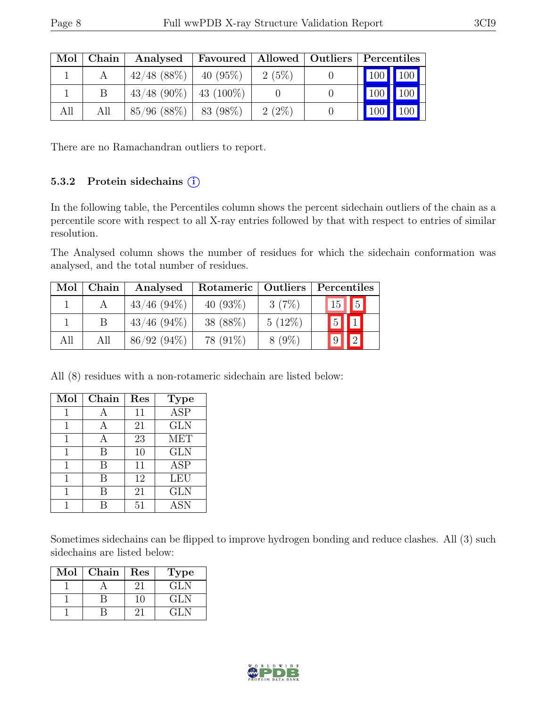| Mol | Chain | Analysed                  | Favoured   Allowed   Outliers   Percentiles |          |                  |     |
|-----|-------|---------------------------|---------------------------------------------|----------|------------------|-----|
|     |       | $42/48$ (88\%)            | $40(95\%)$                                  | 2(5%)    | 100 100          |     |
|     |       | $43/48$ (90%)   43 (100%) |                                             |          | $100$   $100$    |     |
| All | All   | $85/96$ (88%)   83 (98%)  |                                             | $2(2\%)$ | 100 <sub>l</sub> | 100 |

There are no Ramachandran outliers to report.

#### 5.3.2 Protein sidechains  $(i)$

In the following table, the Percentiles column shows the percent sidechain outliers of the chain as a percentile score with respect to all X-ray entries followed by that with respect to entries of similar resolution.

The Analysed column shows the number of residues for which the sidechain conformation was analysed, and the total number of residues.

| Mol | Chain | Analysed       | Rotameric   | Outliers  | Percentiles                   |
|-----|-------|----------------|-------------|-----------|-------------------------------|
|     |       | $43/46$ (94\%) | 40 $(93\%)$ | 3(7%)     | $15$   $5$                    |
|     |       | $43/46$ (94\%) | 38 (88%)    | $5(12\%)$ | $\vert 5 \vert \vert 1 \vert$ |
| All | All   | $86/92(94\%)$  | 78 (91\%)   | $8(9\%)$  |                               |

All (8) residues with a non-rotameric sidechain are listed below:

| Mol | Chain | Res | <b>Type</b>             |
|-----|-------|-----|-------------------------|
| 1   | A     | 11  | $\overline{\text{ASP}}$ |
| 1   | А     | 21  | <b>GLN</b>              |
|     | А     | 23  | <b>MET</b>              |
| 1   | B     | 10  | <b>GLN</b>              |
|     | В     | 11  | <b>ASP</b>              |
|     | В     | 12  | LEU                     |
|     | R     | 21  | <b>GLN</b>              |
|     |       | 51  | <b>ASN</b>              |

Sometimes sidechains can be flipped to improve hydrogen bonding and reduce clashes. All (3) such sidechains are listed below:

| Mol | Chain | Res | Type   |
|-----|-------|-----|--------|
|     |       | 21  | GL N   |
|     |       |     | GLN    |
|     |       | ,   | 14 L N |

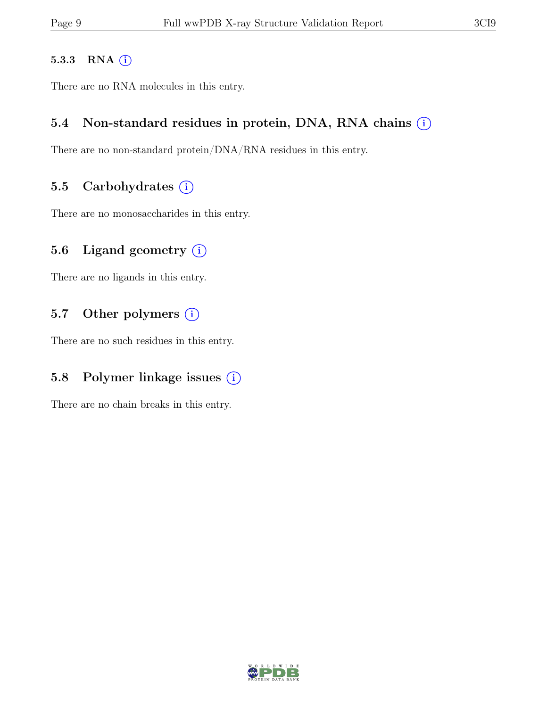#### 5.3.3 RNA  $(i)$

There are no RNA molecules in this entry.

#### 5.4 Non-standard residues in protein, DNA, RNA chains  $(i)$

There are no non-standard protein/DNA/RNA residues in this entry.

#### 5.5 Carbohydrates  $(i)$

There are no monosaccharides in this entry.

#### 5.6 Ligand geometry  $(i)$

There are no ligands in this entry.

#### 5.7 Other polymers  $(i)$

There are no such residues in this entry.

### 5.8 Polymer linkage issues  $(i)$

There are no chain breaks in this entry.

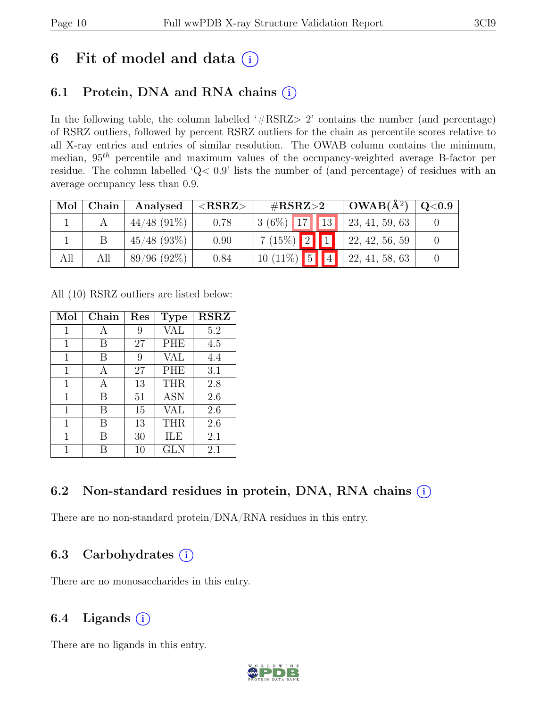# 6 Fit of model and data  $(i)$

### 6.1 Protein, DNA and RNA chains  $(i)$

In the following table, the column labelled '#RSRZ> 2' contains the number (and percentage) of RSRZ outliers, followed by percent RSRZ outliers for the chain as percentile scores relative to all X-ray entries and entries of similar resolution. The OWAB column contains the minimum, median,  $95<sup>th</sup>$  percentile and maximum values of the occupancy-weighted average B-factor per residue. The column labelled 'Q< 0.9' lists the number of (and percentage) of residues with an average occupancy less than 0.9.

| Mol | Chain | Analysed       | $<$ RSRZ $>$ | $\#\text{RSRZ}\!\!>\!\!2$ | $OWAB(A^2)$    | Q <sub>0.9</sub> |
|-----|-------|----------------|--------------|---------------------------|----------------|------------------|
|     |       | $44/48$ (91\%) | 0.78         | $3(6\%)$ 17 13            | 23, 41, 59, 63 |                  |
|     |       | $45/48$ (93\%) | 0.90         | $7(15\%)$ 2 1             | 22, 42, 56, 59 |                  |
| All | All   | $89/96(92\%)$  | 0.84         | $10(11\%)$ 5 4            | 22, 41, 58, 63 |                  |

All (10) RSRZ outliers are listed below:

| Mol         | Chain | Res | <b>Type</b> | <b>RSRZ</b> |
|-------------|-------|-----|-------------|-------------|
| 1           | А     | 9   | VAL         | 5.2         |
| 1           | В     | 27  | <b>PHE</b>  | 4.5         |
| $\mathbf 1$ | В     | 9   | <b>VAL</b>  | 4.4         |
| 1           | А     | 27  | <b>PHE</b>  | 3.1         |
| 1           | А     | 13  | <b>THR</b>  | 2.8         |
| 1           | В     | 51  | <b>ASN</b>  | 2.6         |
| 1           | В     | 15  | <b>VAL</b>  | 2.6         |
| 1           | В     | 13  | <b>THR</b>  | 2.6         |
| 1           | В     | 30  | ILE         | 2.1         |
| 1           |       | 10  | GLN         | 2.1         |

### 6.2 Non-standard residues in protein, DNA, RNA chains (i)

There are no non-standard protein/DNA/RNA residues in this entry.

### 6.3 Carbohydrates  $(i)$

There are no monosaccharides in this entry.

### 6.4 Ligands  $(i)$

There are no ligands in this entry.